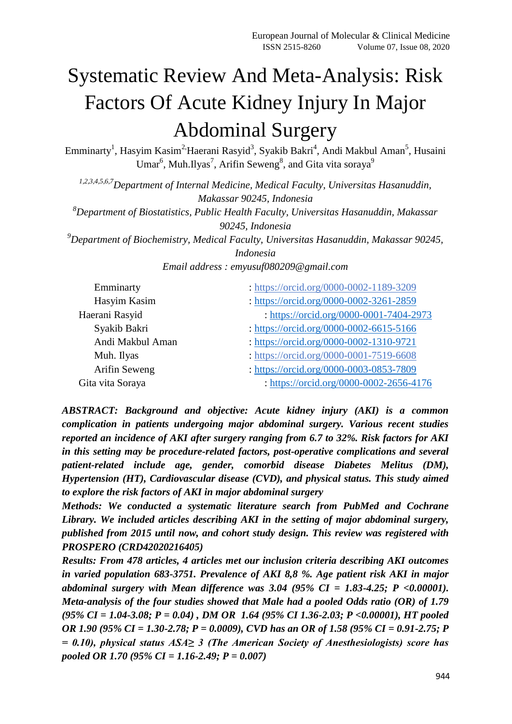# Systematic Review And Meta-Analysis: Risk Factors Of Acute Kidney Injury In Major Abdominal Surgery

Emminarty<sup>1</sup>, Hasyim Kasim<sup>2,</sup>Haerani Rasyid<sup>3</sup>, Syakib Bakri<sup>4</sup>, Andi Makbul Aman<sup>5</sup>, Husaini Umar<sup>6</sup>, Muh.Ilyas<sup>7</sup>, Arifin Seweng<sup>8</sup>, and Gita vita soraya<sup>9</sup>

*1,2,3,4,5,6,7Department of Internal Medicine, Medical Faculty, Universitas Hasanuddin, Makassar 90245, Indonesia <sup>8</sup>Department of Biostatistics, Public Health Faculty, Universitas Hasanuddin, Makassar 90245, Indonesia <sup>9</sup>Department of Biochemistry, Medical Faculty, Universitas Hasanuddin, Makassar 90245, Indonesia Email address : emyusuf080209@gmail.com*

| Emminarty        | : https://orcid.org/0000-0002-1189-3209 |
|------------------|-----------------------------------------|
| Hasyim Kasim     | : https://orcid.org/0000-0002-3261-2859 |
| Haerani Rasyid   | : https://orcid.org/0000-0001-7404-2973 |
| Syakib Bakri     | : https://orcid.org/0000-0002-6615-5166 |
| Andi Makbul Aman | : https://orcid.org/0000-0002-1310-9721 |
| Muh. Ilyas       | : https://orcid.org/0000-0001-7519-6608 |
| Arifin Seweng    | : https://orcid.org/0000-0003-0853-7809 |
| Gita vita Soraya | : https://orcid.org/0000-0002-2656-4176 |

*ABSTRACT: Background and objective: Acute kidney injury (AKI) is a common complication in patients undergoing major abdominal surgery. Various recent studies reported an incidence of AKI after surgery ranging from 6.7 to 32%. Risk factors for AKI in this setting may be procedure-related factors, post-operative complications and several patient-related include age, gender, comorbid disease Diabetes Melitus (DM), Hypertension (HT), Cardiovascular disease (CVD), and physical status. This study aimed to explore the risk factors of AKI in major abdominal surgery*

*Methods: We conducted a systematic literature search from PubMed and Cochrane Library. We included articles describing AKI in the setting of major abdominal surgery, published from 2015 until now, and cohort study design. This review was registered with PROSPERO (CRD42020216405)*

*Results: From 478 articles, 4 articles met our inclusion criteria describing AKI outcomes in varied population 683-3751. Prevalence of AKI 8,8 %. Age patient risk AKI in major abdominal surgery with Mean difference was 3.04 (95% CI = 1.83-4.25; P <0.00001). Meta-analysis of the four studies showed that Male had a pooled Odds ratio (OR) of 1.79 (95% CI = 1.04-3.08; P = 0.04) , DM OR 1.64 (95% CI 1.36-2.03; P <0.00001), HT pooled OR 1.90 (95% CI = 1.30-2.78; P = 0.0009), CVD has an OR of 1.58 (95% CI = 0.91-2.75; P = 0.10), physical status ASA≥ 3 (The American Society of Anesthesiologists) score has pooled OR 1.70 (95% CI = 1.16-2.49; P = 0.007)*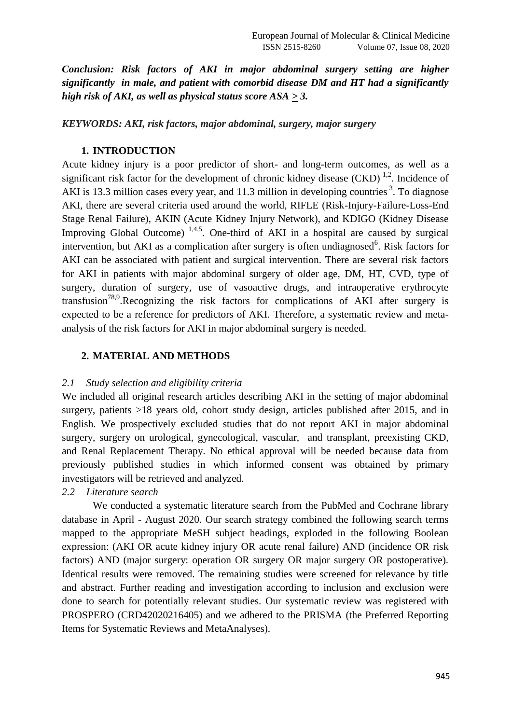*Conclusion: Risk factors of AKI in major abdominal surgery setting are higher significantly in male, and patient with comorbid disease DM and HT had a significantly high risk of AKI, as well as physical status score ASA*  $\geq$  *3.* 

*KEYWORDS: AKI, risk factors, major abdominal, surgery, major surgery*

# **1. INTRODUCTION**

Acute kidney injury is a poor predictor of short- and long-term outcomes, as well as a significant risk factor for the development of chronic kidney disease  $(CKD)^{1,2}$ . Incidence of AKI is 13.3 million cases every year, and 11.3 million in developing countries<sup>3</sup>. To diagnose AKI, there are several criteria used around the world, RIFLE (Risk-Injury-Failure-Loss-End Stage Renal Failure), AKIN (Acute Kidney Injury Network), and KDIGO (Kidney Disease Improving Global Outcome)<sup>1,4,5</sup>. One-third of AKI in a hospital are caused by surgical intervention, but AKI as a complication after surgery is often undiagnosed<sup>6</sup>. Risk factors for AKI can be associated with patient and surgical intervention. There are several risk factors for AKI in patients with major abdominal surgery of older age, DM, HT, CVD, type of surgery, duration of surgery, use of vasoactive drugs, and intraoperative erythrocyte transfusion<sup>78,9</sup>.Recognizing the risk factors for complications of AKI after surgery is expected to be a reference for predictors of AKI. Therefore, a systematic review and metaanalysis of the risk factors for AKI in major abdominal surgery is needed.

# **2. MATERIAL AND METHODS**

### *2.1 Study selection and eligibility criteria*

We included all original research articles describing AKI in the setting of major abdominal surgery, patients  $>18$  years old, cohort study design, articles published after 2015, and in English. We prospectively excluded studies that do not report AKI in major abdominal surgery, surgery on urological, gynecological, vascular, and transplant, preexisting CKD, and Renal Replacement Therapy. No ethical approval will be needed because data from previously published studies in which informed consent was obtained by primary investigators will be retrieved and analyzed.

# *2.2 Literature search*

We conducted a systematic literature search from the PubMed and Cochrane library database in April - August 2020. Our search strategy combined the following search terms mapped to the appropriate MeSH subject headings, exploded in the following Boolean expression: (AKI OR acute kidney injury OR acute renal failure) AND (incidence OR risk factors) AND (major surgery: operation OR surgery OR major surgery OR postoperative). Identical results were removed. The remaining studies were screened for relevance by title and abstract. Further reading and investigation according to inclusion and exclusion were done to search for potentially relevant studies. Our systematic review was registered with PROSPERO (CRD42020216405) and we adhered to the PRISMA (the Preferred Reporting Items for Systematic Reviews and MetaAnalyses).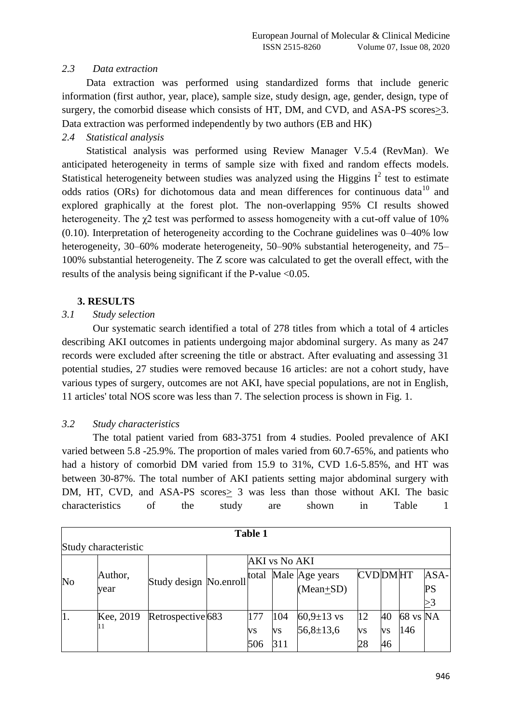# *2.3 Data extraction*

Data extraction was performed using standardized forms that include generic information (first author, year, place), sample size, study design, age, gender, design, type of surgery, the comorbid disease which consists of HT, DM, and CVD, and ASA-PS scores>3. Data extraction was performed independently by two authors (EB and HK)

# *2.4 Statistical analysis*

Statistical analysis was performed using Review Manager V.5.4 (RevMan). We anticipated heterogeneity in terms of sample size with fixed and random effects models. Statistical heterogeneity between studies was analyzed using the Higgins  $I^2$  test to estimate odds ratios (ORs) for dichotomous data and mean differences for continuous data<sup>10</sup> and explored graphically at the forest plot. The non-overlapping 95% CI results showed heterogeneity. The χ2 test was performed to assess homogeneity with a cut-off value of 10% (0.10). Interpretation of heterogeneity according to the Cochrane guidelines was 0–40% low heterogeneity, 30–60% moderate heterogeneity, 50–90% substantial heterogeneity, and 75– 100% substantial heterogeneity. The Z score was calculated to get the overall effect, with the results of the analysis being significant if the P-value <0.05.

## **3. RESULTS**

## *3.1 Study selection*

Our systematic search identified a total of 278 titles from which a total of 4 articles describing AKI outcomes in patients undergoing major abdominal surgery. As many as 247 records were excluded after screening the title or abstract. After evaluating and assessing 31 potential studies, 27 studies were removed because 16 articles: are not a cohort study, have various types of surgery, outcomes are not AKI, have special populations, are not in English, 11 articles' total NOS score was less than 7. The selection process is shown in Fig. 1.

### *3.2 Study characteristics*

The total patient varied from 683-3751 from 4 studies. Pooled prevalence of AKI varied between 5.8 -25.9%. The proportion of males varied from 60.7-65%, and patients who had a history of comorbid DM varied from 15.9 to 31%, CVD 1.6-5.85%, and HT was between 30-87%. The total number of AKI patients setting major abdominal surgery with DM, HT, CVD, and ASA-PS scores > 3 was less than those without AKI. The basic characteristics of the study are shown in Table 1

|                      | <b>Table 1</b> |                        |  |                      |     |                  |                |    |          |      |  |  |  |
|----------------------|----------------|------------------------|--|----------------------|-----|------------------|----------------|----|----------|------|--|--|--|
| Study characteristic |                |                        |  |                      |     |                  |                |    |          |      |  |  |  |
|                      |                |                        |  | <b>AKI</b> vs No AKI |     |                  |                |    |          |      |  |  |  |
| No                   | Author,        | Study design No.enroll |  | total                |     | Male Age years   | <b>CVDDMHT</b> |    |          | ASA- |  |  |  |
|                      | year           |                        |  |                      |     | $(Mean+SD)$      |                |    |          | PS   |  |  |  |
|                      |                |                        |  |                      |     |                  |                |    |          |      |  |  |  |
| 1.                   | Kee, 2019      | Retrospective 683      |  | 177                  | 104 | $60,9{\pm}13$ vs | 12             | 40 | 68 vs NA |      |  |  |  |
|                      | 11             |                        |  | VS                   | VS  | $56,8 \pm 13,6$  | VS             | VS | 146      |      |  |  |  |
|                      |                |                        |  | 506                  | 311 |                  | 28             | 46 |          |      |  |  |  |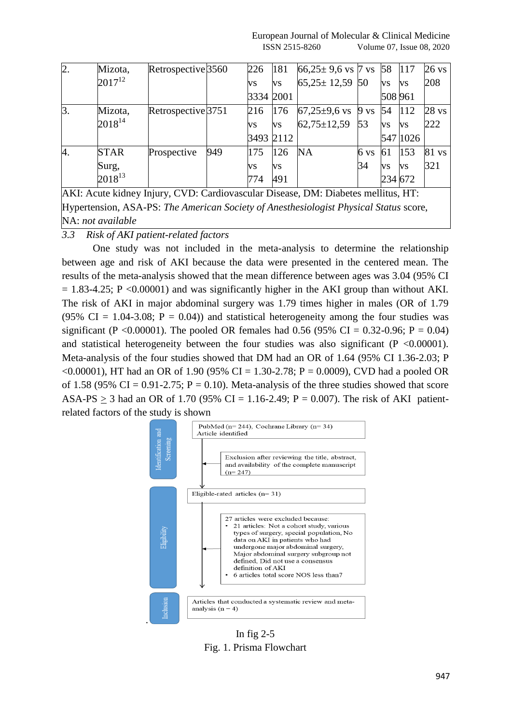| 2.             | Mizota,     | Retrospective 3560 |     | 226       | 181       | $66,25 \pm 9,6$ vs 7 vs 58 |      |           | 117       | $26 \text{ vs}$  |
|----------------|-------------|--------------------|-----|-----------|-----------|----------------------------|------|-----------|-----------|------------------|
|                | $2017^{12}$ |                    |     | <b>VS</b> | <b>VS</b> | $65,25 \pm 12,59$ 50       |      | VS        | <b>VS</b> | 208              |
|                |             |                    |     | 3334 2001 |           |                            |      | 508 961   |           |                  |
| $\mathbf{3}$ . | Mizota,     | Retrospective 3751 |     | 216       | 176       | $67,25\pm9,6$ vs 9 vs      |      | 54        | 112       | 28 <sub>vs</sub> |
|                | $2018^{14}$ |                    |     | <b>VS</b> | <b>VS</b> | $62,75 \pm 12,59$          | 53   | VS        | <b>VS</b> | 222              |
|                |             |                    |     | 3493 2112 |           |                            |      |           | 547 1026  |                  |
| 4.             | <b>STAR</b> | Prospective        | 949 | 175       | 126       | <b>NA</b>                  | 6 vs | 61        | 153       | 81 vs            |
|                | Surg,       |                    |     | VS        | <b>VS</b> |                            | 34   | <b>VS</b> | <b>VS</b> | 321              |
|                | $2018^{13}$ |                    |     | 774       | 491       |                            |      | 234 672   |           |                  |

AKI: Acute kidney Injury, CVD: Cardiovascular Disease, DM: Diabetes mellitus, HT: Hypertension, ASA-PS: *The American Society of Anesthesiologist Physical Status* score, NA: *not available*

*3.3 Risk of AKI patient-related factors*

One study was not included in the meta-analysis to determine the relationship between age and risk of AKI because the data were presented in the centered mean. The results of the meta-analysis showed that the mean difference between ages was 3.04 (95% CI  $= 1.83-4.25$ ; P <0.00001) and was significantly higher in the AKI group than without AKI. The risk of AKI in major abdominal surgery was 1.79 times higher in males (OR of 1.79 (95% CI = 1.04-3.08;  $P = 0.04$ )) and statistical heterogeneity among the four studies was significant (P < 0.00001). The pooled OR females had 0.56 (95% CI = 0.32-0.96; P = 0.04) and statistical heterogeneity between the four studies was also significant  $(P \le 0.00001)$ . Meta-analysis of the four studies showed that DM had an OR of 1.64 (95% CI 1.36-2.03; P  $\leq 0.00001$ ), HT had an OR of 1.90 (95% CI = 1.30-2.78; P = 0.0009), CVD had a pooled OR of 1.58 (95% CI = 0.91-2.75;  $P = 0.10$ ). Meta-analysis of the three studies showed that score ASA-PS  $\geq$  3 had an OR of 1.70 (95% CI = 1.16-2.49; P = 0.007). The risk of AKI patientrelated factors of the study is shown



In fig  $2-5$ Fig. 1. Prisma Flowchart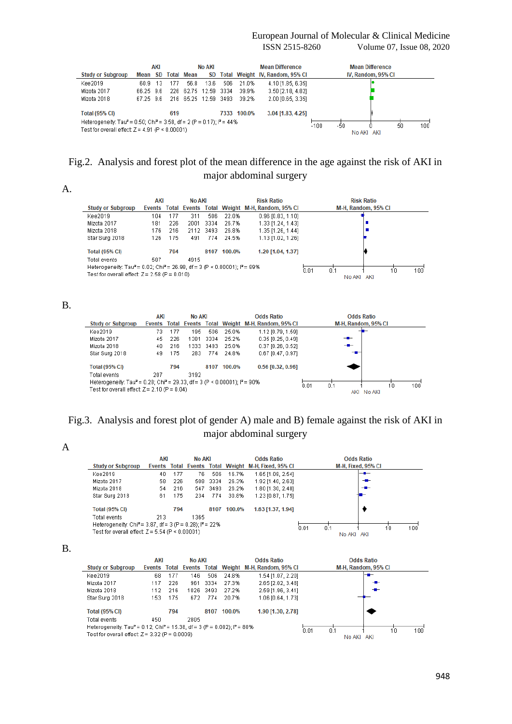#### European Journal of Molecular & Clinical Medicine ISSN 2515-8260 Volume 07, Issue 08, 2020

|                                                                                                                                                     |              | AKI    |      |                      | No AKI |     |             | <b>Mean Difference</b>          |  |  | <b>Mean Difference</b> |  |  |
|-----------------------------------------------------------------------------------------------------------------------------------------------------|--------------|--------|------|----------------------|--------|-----|-------------|---------------------------------|--|--|------------------------|--|--|
| <b>Study or Subgroup</b>                                                                                                                            | Mean         | SD.    |      | <b>Total Mean</b>    | SD     |     |             | Total Weight IV, Random, 95% CI |  |  | IV, Random, 95% CI     |  |  |
| Kee2019                                                                                                                                             | 60 9.        | 13.    | 177  | 56.8                 | 13.6   | 506 | 21.0%       | 4.10 [1.85, 6.35]               |  |  |                        |  |  |
| Mizota 2017                                                                                                                                         | -66 25 - 9.6 |        | 226. | 62.75 12.59 3334     |        |     | 39.9%       | 3.50 [2.18, 4.82]               |  |  |                        |  |  |
| Mizota 2018                                                                                                                                         | 6725 96      |        |      | 216 65.25 12.59 3493 |        |     | 39.2%       | 2.00 [0.65, 3.35]               |  |  |                        |  |  |
| <b>Total (95% CI)</b>                                                                                                                               |              |        | 619  |                      |        |     | 7333 100.0% | 3.04 [1.83, 4.25]               |  |  |                        |  |  |
| Heterogeneity: Tau <sup>2</sup> = 0.50; Chi <sup>2</sup> = 3.58, df = 2 (P = 0.17); $P = 44\%$<br>Test for overall effect: $Z = 4.91$ (P < 0.00001) |              | $-100$ | -50  | No AKI AKI           | 50     | 100 |             |                                 |  |  |                        |  |  |

# Fig.2. Analysis and forest plot of the mean difference in the age against the risk of AKI in major abdominal surgery

## A.

|                                                                                                    | AKI    |       | No AKI       |      |        | <b>Risk Ratio</b>          |             | <b>Risk Ratio</b>   |  |           |
|----------------------------------------------------------------------------------------------------|--------|-------|--------------|------|--------|----------------------------|-------------|---------------------|--|-----------|
| <b>Study or Subgroup</b>                                                                           | Events | Total | Events Total |      |        | Weight M-H, Random, 95% CI |             | M-H, Random, 95% CI |  |           |
| Kee2019                                                                                            | 104    | 177   | 311          | 506  | 22.0%  | $0.96$ [0.83, 1.10]        |             |                     |  |           |
| Mizota 2017                                                                                        | 181    | 226   | 2001         | 3334 | 26.7%  | 1.33 [1.24, 1.43]          |             |                     |  |           |
| Mizota 2018                                                                                        | 176    | 216   | 2112         | 3493 | 26.8%  | 1.35 [1.26, 1.44]          |             |                     |  |           |
| Star Surg 2018                                                                                     | 126    | 175   | 491          | 774  | -24.5% | 1.13 [1.02, 1.26]          |             |                     |  |           |
| <b>Total (95% CI)</b>                                                                              |        | 794   |              | 8107 | 100.0% | 1.20 [1.04, 1.37]          |             |                     |  |           |
| Total events                                                                                       | 587    |       | 4915         |      |        |                            |             |                     |  |           |
| Heterogeneity: Tau <sup>2</sup> = 0.02; Chi <sup>2</sup> = 26.98, df = 3 (P < 0.00001); $P = 89\%$ |        |       |              |      | 10     |                            |             |                     |  |           |
| Test for overall effect: $Z = 2.58$ (P = 0.010)                                                    |        |       |              |      |        |                            | 0.01<br>0.1 | AKI<br>No AKI       |  | $100^{1}$ |

#### B.

|                                                                                                    | AKI |     | <b>No AKI</b> |        |        | <b>Odds Ratio</b>                                    |      |     | <b>Odds Ratio</b>   |    |                 |
|----------------------------------------------------------------------------------------------------|-----|-----|---------------|--------|--------|------------------------------------------------------|------|-----|---------------------|----|-----------------|
| <b>Study or Subgroup</b>                                                                           |     |     |               |        |        | Events Total Events Total Weight M-H, Random, 95% CI |      |     | M-H, Random, 95% CI |    |                 |
| Kee2019                                                                                            | 73. | 177 | 195           | 506    | 25.0%  | 1.12 [0.79, 1.59]                                    |      |     |                     |    |                 |
| Mizota 2017                                                                                        | 45  | 226 | 1381          | 3334   | 25.2%  | $0.35$ $[0.25, 0.49]$                                |      | $-$ |                     |    |                 |
| Mizota 2018                                                                                        | 40  | 216 | 1333          | - 3493 | 25.0%  | $0.37$ [0.26, 0.52]                                  |      | -   |                     |    |                 |
| Star Surg 2018                                                                                     | 49  | 175 | 283           | 774    | 24.8%  | 0.67 [0.47, 0.97]                                    |      |     |                     |    |                 |
| <b>Total (95% CI)</b>                                                                              |     | 794 |               | 8107   | 100.0% | 0.56 [0.32, 0.96]                                    |      |     |                     |    |                 |
| Total events                                                                                       | 207 |     | 3192          |        |        |                                                      |      |     |                     |    |                 |
| Heterogeneity: Tau <sup>2</sup> = 0.28; Chi <sup>2</sup> = 29.33, df = 3 (P < 0.00001); $P = 90\%$ |     |     |               |        |        |                                                      |      | 0.1 |                     | 10 | $100^{\degree}$ |
| Test for overall effect: $Z = 2.10$ (P = 0.04)                                                     |     |     |               |        |        |                                                      | 0.01 |     | No AKI<br>AKI       |    |                 |

# Fig.3. Analysis and forest plot of gender A) male and B) female against the risk of AKI in major abdominal surgery

A

|                                                                       | AKI             | <b>No AKI</b>                 | <b>Odds Ratio</b>           | <b>Odds Ratio</b>  |
|-----------------------------------------------------------------------|-----------------|-------------------------------|-----------------------------|--------------------|
| <b>Study or Subgroup</b>                                              | Total<br>Events | <b>Events</b><br><b>Total</b> | Weight M-H, Fixed, 95% CI   | M-H, Fixed, 95% CI |
| Kee2019                                                               | 177<br>40       | 76<br>506                     | 16.7%<br>1.65 [1.08, 2.54]  | —                  |
| Mizota 2017                                                           | 226<br>58       | 3334<br>508                   | 26.3%<br>1.92 [1.40, 2.63]  | $-$                |
| Mizota 2018                                                           | 216<br>54       | 3493<br>547                   | 26.2%<br>1.80 [1.30, 2.48]  | --                 |
| Star Surg 2018                                                        | 175<br>61       | 774<br>234                    | 30.8%<br>1.23 [0.87, 1.75]  |                    |
| <b>Total (95% CI)</b>                                                 | 794             | 8107                          | 100.0%<br>1.63 [1.37, 1.94] |                    |
| Total events                                                          | 213             | 1365                          |                             |                    |
| Heterogeneity: Chi <sup>2</sup> = 3.87, df = 3 (P = 0.28); $P = 22\%$ |                 | 0.01<br>100<br>0.1<br>10      |                             |                    |
| Test for overall effect: $Z = 5.54$ (P < 0.00001)                     |                 |                               |                             | AKI<br>No AKI      |

#### B.

|                                                                                                  | AKI  |     | <b>No AKI</b> |           |        | <b>Odds Ratio</b>                                    |               |                     |     |  |
|--------------------------------------------------------------------------------------------------|------|-----|---------------|-----------|--------|------------------------------------------------------|---------------|---------------------|-----|--|
| <b>Study or Subgroup</b>                                                                         |      |     |               |           |        | Events Total Events Total Weight M-H, Random, 95% CI |               | M-H, Random, 95% CI |     |  |
| Kee2019                                                                                          | 68   | 177 | 46            | 506       | 24.8%  | 1.54 [1.07, 2.20]                                    |               | -                   |     |  |
| Mizota 2017                                                                                      | 117  | 226 | 961           | 3334      | 27.3%  | 2.65 [2.02, 3.48]                                    |               | $-$                 |     |  |
| Mizota 2018                                                                                      | 112  | 216 |               | 1026 3493 | 27.2%  | 2.59 [1.96, 3.41]                                    |               |                     |     |  |
| Star Surg 2018                                                                                   | 153. | 175 | 672           | 774       | 20.7%  | 1.06 [0.64, 1.73]                                    |               |                     |     |  |
| <b>Total (95% CI)</b>                                                                            |      | 794 |               | 8107      | 100.0% | 1.90 [1.30, 2.78]                                    |               |                     |     |  |
| Total events                                                                                     | 450  |     | 2805          |           |        |                                                      |               |                     |     |  |
| Heterogeneity: Tau <sup>2</sup> = 0.12; Chi <sup>2</sup> = 15.38, df = 3 (P = 0.002); $P = 80\%$ |      |     |               |           |        | 0.01<br>0 <sup>1</sup>                               |               | 10                  | 100 |  |
| Test for overall effect: $Z = 3.32$ (P = 0.0009)                                                 |      |     |               |           |        |                                                      | AKI<br>No AKI |                     |     |  |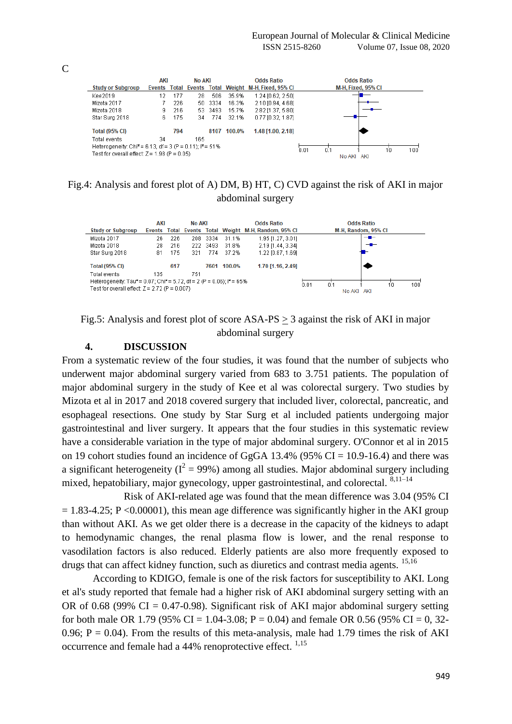

# Fig.4: Analysis and forest plot of A) DM, B) HT, C) CVD against the risk of AKI in major abdominal surgery

|                                                                                                                                                             | AKI       | <b>No AKI</b> |        | <b>Odds Ratio</b>                                    | <b>Odds Ratio</b>   |
|-------------------------------------------------------------------------------------------------------------------------------------------------------------|-----------|---------------|--------|------------------------------------------------------|---------------------|
| <b>Study or Subgroup</b>                                                                                                                                    |           |               |        | Events Total Events Total Weight M-H. Random, 95% CI | M-H, Random, 95% CI |
| Mizota 2017                                                                                                                                                 | 226<br>26 | 3334<br>208   | 31.1%  | 1.95 [1.27, 3.01]                                    | $-$                 |
| Mizota 2018                                                                                                                                                 | 28<br>216 | 222 3493      | 31.8%  | 2.19 [1.44, 3.34]                                    | $-$                 |
| Star Surg 2018                                                                                                                                              | 175<br>81 | 774<br>321    | 37.2%  | 1.22 [0.87, 1.69]                                    |                     |
| <b>Total (95% CI)</b>                                                                                                                                       | 617       | 7601          | 100.0% | 1.70 [1.16, 2.49]                                    |                     |
| Total events                                                                                                                                                | 135       | 751           |        |                                                      |                     |
| Heterogeneity: Tau <sup>2</sup> = 0.07; Chi <sup>2</sup> = 5.72, df = 2 (P = 0.06); i <sup>2</sup> = 65%<br>Test for overall effect: $Z = 2.72$ (P = 0.007) |           |               |        | 100<br>0.01<br>0.1<br>10<br>AKI<br>No AKI            |                     |

# Fig.5: Analysis and forest plot of score ASA-PS > 3 against the risk of AKI in major abdominal surgery

# **4. DISCUSSION**

From a systematic review of the four studies, it was found that the number of subjects who underwent major abdominal surgery varied from 683 to 3.751 patients. The population of major abdominal surgery in the study of Kee et al was colorectal surgery. Two studies by Mizota et al in 2017 and 2018 covered surgery that included liver, colorectal, pancreatic, and esophageal resections. One study by Star Surg et al included patients undergoing major gastrointestinal and liver surgery. It appears that the four studies in this systematic review have a considerable variation in the type of major abdominal surgery. O'Connor et al in 2015 on 19 cohort studies found an incidence of GgGA 13.4% (95% CI = 10.9-16.4) and there was a significant heterogeneity ( $I^2 = 99\%$ ) among all studies. Major abdominal surgery including mixed, hepatobiliary, major gynecology, upper gastrointestinal, and colorectal.  $8,11-14$ 

Risk of AKI-related age was found that the mean difference was 3.04 (95% CI  $= 1.83-4.25$ ; P <0.00001), this mean age difference was significantly higher in the AKI group than without AKI. As we get older there is a decrease in the capacity of the kidneys to adapt to hemodynamic changes, the renal plasma flow is lower, and the renal response to vasodilation factors is also reduced. Elderly patients are also more frequently exposed to drugs that can affect kidney function, such as diuretics and contrast media agents. <sup>15,16</sup>

According to KDIGO, female is one of the risk factors for susceptibility to AKI. Long et al's study reported that female had a higher risk of AKI abdominal surgery setting with an OR of 0.68 (99% CI = 0.47-0.98). Significant risk of AKI major abdominal surgery setting for both male OR 1.79 (95% CI = 1.04-3.08; P = 0.04) and female OR 0.56 (95% CI = 0, 32-0.96;  $P = 0.04$ ). From the results of this meta-analysis, male had 1.79 times the risk of AKI occurrence and female had a 44% renoprotective effect. 1,15

C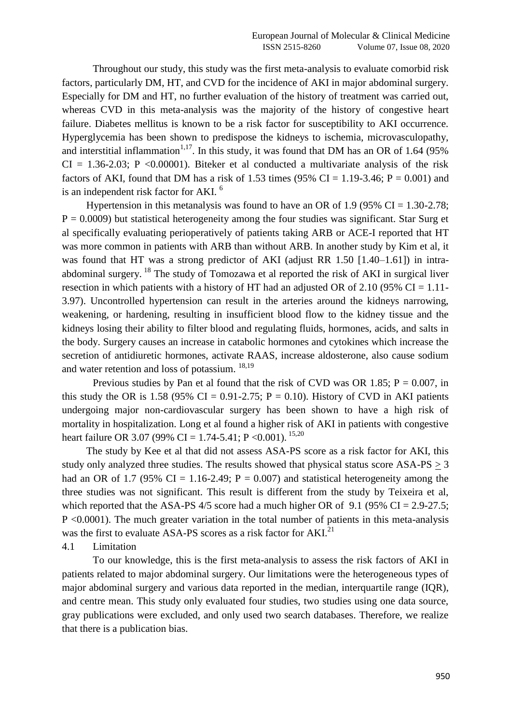Throughout our study, this study was the first meta-analysis to evaluate comorbid risk factors, particularly DM, HT, and CVD for the incidence of AKI in major abdominal surgery. Especially for DM and HT, no further evaluation of the history of treatment was carried out, whereas CVD in this meta-analysis was the majority of the history of congestive heart failure. Diabetes mellitus is known to be a risk factor for susceptibility to AKI occurrence. Hyperglycemia has been shown to predispose the kidneys to ischemia, microvasculopathy, and interstitial inflammation<sup>1,17</sup>. In this study, it was found that DM has an OR of 1.64 (95%)  $CI = 1.36 - 2.03$ ; P <0.00001). Biteker et al conducted a multivariate analysis of the risk factors of AKI, found that DM has a risk of 1.53 times (95% CI = 1.19-3.46;  $P = 0.001$ ) and is an independent risk factor for AKI. <sup>6</sup>

Hypertension in this metanalysis was found to have an OR of 1.9 (95%  $CI = 1.30 - 2.78$ ;  $P = 0.0009$ ) but statistical heterogeneity among the four studies was significant. Star Surg et al specifically evaluating perioperatively of patients taking ARB or ACE-I reported that HT was more common in patients with ARB than without ARB. In another study by Kim et al, it was found that HT was a strong predictor of AKI (adjust RR 1.50 [1.40–1.61]) in intraabdominal surgery. <sup>18</sup> The study of Tomozawa et al reported the risk of AKI in surgical liver resection in which patients with a history of HT had an adjusted OR of 2.10 (95% CI = 1.11-3.97). Uncontrolled hypertension can result in the arteries around the kidneys narrowing, weakening, or hardening, resulting in insufficient blood flow to the kidney tissue and the kidneys losing their ability to filter blood and regulating fluids, hormones, acids, and salts in the body. Surgery causes an increase in catabolic hormones and cytokines which increase the secretion of antidiuretic hormones, activate RAAS, increase aldosterone, also cause sodium and water retention and loss of potassium. 18,19

Previous studies by Pan et al found that the risk of CVD was OR 1.85;  $P = 0.007$ , in this study the OR is 1.58 (95% CI = 0.91-2.75;  $P = 0.10$ ). History of CVD in AKI patients undergoing major non-cardiovascular surgery has been shown to have a high risk of mortality in hospitalization. Long et al found a higher risk of AKI in patients with congestive heart failure OR 3.07 (99% CI = 1.74-5.41; P < 0.001). <sup>15,20</sup>

The study by Kee et al that did not assess ASA-PS score as a risk factor for AKI, this study only analyzed three studies. The results showed that physical status score ASA-PS > 3 had an OR of 1.7 (95% CI = 1.16-2.49;  $P = 0.007$ ) and statistical heterogeneity among the three studies was not significant. This result is different from the study by Teixeira et al, which reported that the ASA-PS  $4/5$  score had a much higher OR of 9.1 (95% CI = 2.9-27.5; P <0.0001). The much greater variation in the total number of patients in this meta-analysis was the first to evaluate ASA-PS scores as a risk factor for AKI.<sup>21</sup>

4.1 Limitation

To our knowledge, this is the first meta-analysis to assess the risk factors of AKI in patients related to major abdominal surgery. Our limitations were the heterogeneous types of major abdominal surgery and various data reported in the median, interquartile range (IQR), and centre mean. This study only evaluated four studies, two studies using one data source, gray publications were excluded, and only used two search databases. Therefore, we realize that there is a publication bias.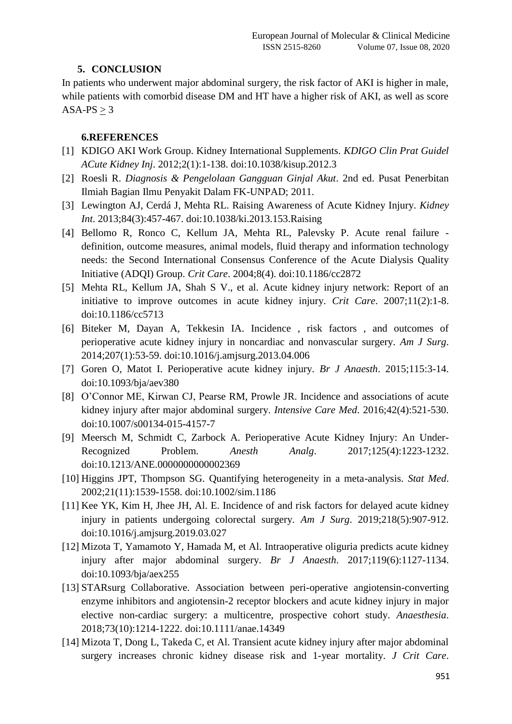# **5. CONCLUSION**

In patients who underwent major abdominal surgery, the risk factor of AKI is higher in male, while patients with comorbid disease DM and HT have a higher risk of AKI, as well as score  $ASA-PS > 3$ 

## **6.REFERENCES**

- [1] KDIGO AKI Work Group. Kidney International Supplements. *KDIGO Clin Prat Guidel ACute Kidney Inj*. 2012;2(1):1-138. doi:10.1038/kisup.2012.3
- [2] Roesli R. *Diagnosis & Pengelolaan Gangguan Ginjal Akut*. 2nd ed. Pusat Penerbitan Ilmiah Bagian Ilmu Penyakit Dalam FK-UNPAD; 2011.
- [3] Lewington AJ, Cerdá J, Mehta RL. Raising Awareness of Acute Kidney Injury. *Kidney Int*. 2013;84(3):457-467. doi:10.1038/ki.2013.153.Raising
- [4] Bellomo R, Ronco C, Kellum JA, Mehta RL, Palevsky P. Acute renal failure definition, outcome measures, animal models, fluid therapy and information technology needs: the Second International Consensus Conference of the Acute Dialysis Quality Initiative (ADQI) Group. *Crit Care*. 2004;8(4). doi:10.1186/cc2872
- [5] Mehta RL, Kellum JA, Shah S V., et al. Acute kidney injury network: Report of an initiative to improve outcomes in acute kidney injury. *Crit Care*. 2007;11(2):1-8. doi:10.1186/cc5713
- [6] Biteker M, Dayan A, Tekkesin IA. Incidence , risk factors , and outcomes of perioperative acute kidney injury in noncardiac and nonvascular surgery. *Am J Surg*. 2014;207(1):53-59. doi:10.1016/j.amjsurg.2013.04.006
- [7] Goren O, Matot I. Perioperative acute kidney injury. *Br J Anaesth*. 2015;115:3-14. doi:10.1093/bja/aev380
- [8] O'Connor ME, Kirwan CJ, Pearse RM, Prowle JR. Incidence and associations of acute kidney injury after major abdominal surgery. *Intensive Care Med*. 2016;42(4):521-530. doi:10.1007/s00134-015-4157-7
- [9] Meersch M, Schmidt C, Zarbock A. Perioperative Acute Kidney Injury: An Under-Recognized Problem. *Anesth Analg*. 2017;125(4):1223-1232. doi:10.1213/ANE.0000000000002369
- [10] Higgins JPT, Thompson SG. Quantifying heterogeneity in a meta-analysis. *Stat Med*. 2002;21(11):1539-1558. doi:10.1002/sim.1186
- [11] Kee YK, Kim H, Jhee JH, Al. E. Incidence of and risk factors for delayed acute kidney injury in patients undergoing colorectal surgery. *Am J Surg*. 2019;218(5):907-912. doi:10.1016/j.amjsurg.2019.03.027
- [12] Mizota T, Yamamoto Y, Hamada M, et Al. Intraoperative oliguria predicts acute kidney injury after major abdominal surgery. *Br J Anaesth*. 2017;119(6):1127-1134. doi:10.1093/bja/aex255
- [13] STARsurg Collaborative. Association between peri-operative angiotensin-converting enzyme inhibitors and angiotensin-2 receptor blockers and acute kidney injury in major elective non-cardiac surgery: a multicentre, prospective cohort study. *Anaesthesia*. 2018;73(10):1214-1222. doi:10.1111/anae.14349
- [14] Mizota T, Dong L, Takeda C, et Al. Transient acute kidney injury after major abdominal surgery increases chronic kidney disease risk and 1-year mortality. *J Crit Care*.